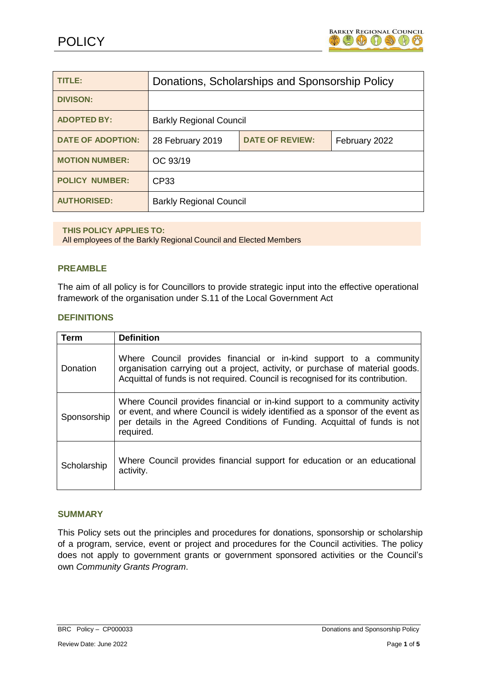

| <b>TITLE:</b>            | Donations, Scholarships and Sponsorship Policy |                        |               |
|--------------------------|------------------------------------------------|------------------------|---------------|
| <b>DIVISON:</b>          |                                                |                        |               |
| <b>ADOPTED BY:</b>       | <b>Barkly Regional Council</b>                 |                        |               |
| <b>DATE OF ADOPTION:</b> | 28 February 2019                               | <b>DATE OF REVIEW:</b> | February 2022 |
| <b>MOTION NUMBER:</b>    | OC 93/19                                       |                        |               |
| <b>POLICY NUMBER:</b>    | CP <sub>33</sub>                               |                        |               |
| <b>AUTHORISED:</b>       | <b>Barkly Regional Council</b>                 |                        |               |

#### **THIS POLICY APPLIES TO:**

All employees of the Barkly Regional Council and Elected Members

#### **PREAMBLE**

The aim of all policy is for Councillors to provide strategic input into the effective operational framework of the organisation under S.11 of the Local Government Act

#### **DEFINITIONS**

| Term        | <b>Definition</b>                                                                                                                                                                                                                                       |
|-------------|---------------------------------------------------------------------------------------------------------------------------------------------------------------------------------------------------------------------------------------------------------|
| Donation    | Where Council provides financial or in-kind support to a community<br>organisation carrying out a project, activity, or purchase of material goods.<br>Acquittal of funds is not required. Council is recognised for its contribution.                  |
| Sponsorship | Where Council provides financial or in-kind support to a community activity<br>or event, and where Council is widely identified as a sponsor of the event as<br>per details in the Agreed Conditions of Funding. Acquittal of funds is not<br>required. |
| Scholarship | Where Council provides financial support for education or an educational<br>activity.                                                                                                                                                                   |

#### **SUMMARY**

This Policy sets out the principles and procedures for donations, sponsorship or scholarship of a program, service, event or project and procedures for the Council activities. The policy does not apply to government grants or government sponsored activities or the Council's own *Community Grants Program*.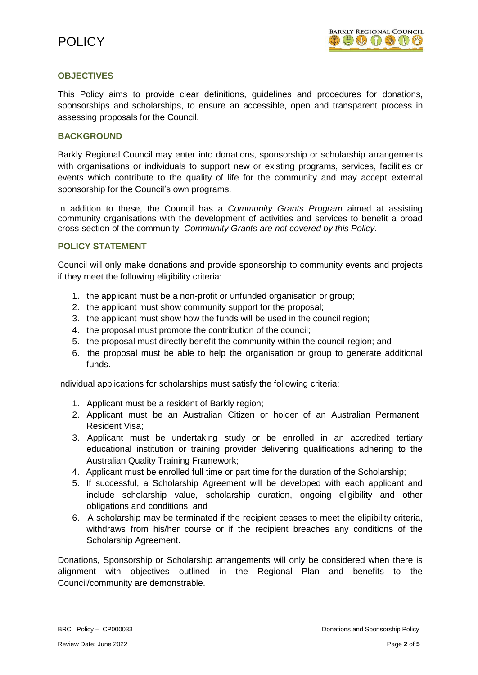## **OBJECTIVES**

This Policy aims to provide clear definitions, guidelines and procedures for donations, sponsorships and scholarships, to ensure an accessible, open and transparent process in assessing proposals for the Council.

### **BACKGROUND**

Barkly Regional Council may enter into donations, sponsorship or scholarship arrangements with organisations or individuals to support new or existing programs, services, facilities or events which contribute to the quality of life for the community and may accept external sponsorship for the Council's own programs.

In addition to these, the Council has a *Community Grants Program* aimed at assisting community organisations with the development of activities and services to benefit a broad cross-section of the community. *Community Grants are not covered by this Policy.*

## **POLICY STATEMENT**

Council will only make donations and provide sponsorship to community events and projects if they meet the following eligibility criteria:

- 1. the applicant must be a non-profit or unfunded organisation or group;
- 2. the applicant must show community support for the proposal;
- 3. the applicant must show how the funds will be used in the council region;
- 4. the proposal must promote the contribution of the council;
- 5. the proposal must directly benefit the community within the council region; and
- 6. the proposal must be able to help the organisation or group to generate additional funds.

Individual applications for scholarships must satisfy the following criteria:

- 1. Applicant must be a resident of Barkly region;
- 2. Applicant must be an Australian Citizen or holder of an Australian Permanent Resident Visa;
- 3. Applicant must be undertaking study or be enrolled in an accredited tertiary educational institution or training provider delivering qualifications adhering to the Australian Quality Training Framework;
- 4. Applicant must be enrolled full time or part time for the duration of the Scholarship;
- 5. If successful, a Scholarship Agreement will be developed with each applicant and include scholarship value, scholarship duration, ongoing eligibility and other obligations and conditions; and
- 6. A scholarship may be terminated if the recipient ceases to meet the eligibility criteria, withdraws from his/her course or if the recipient breaches any conditions of the Scholarship Agreement.

Donations, Sponsorship or Scholarship arrangements will only be considered when there is alignment with objectives outlined in the Regional Plan and benefits to the Council/community are demonstrable.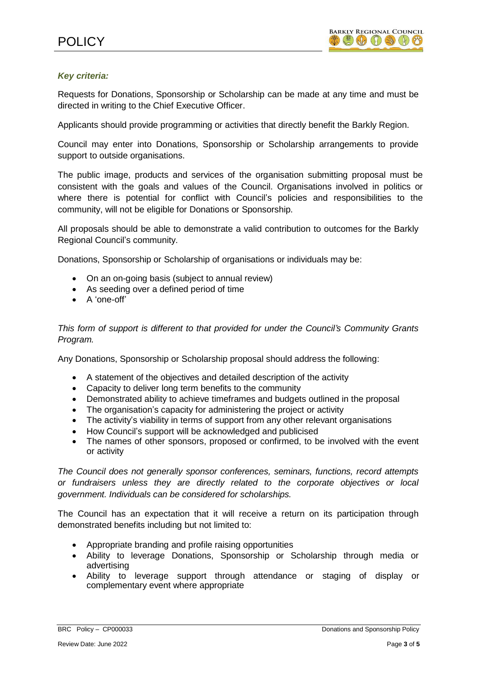## *Key criteria:*

Requests for Donations, Sponsorship or Scholarship can be made at any time and must be directed in writing to the Chief Executive Officer.

Applicants should provide programming or activities that directly benefit the Barkly Region.

Council may enter into Donations, Sponsorship or Scholarship arrangements to provide support to outside organisations.

The public image, products and services of the organisation submitting proposal must be consistent with the goals and values of the Council. Organisations involved in politics or where there is potential for conflict with Council's policies and responsibilities to the community, will not be eligible for Donations or Sponsorship.

All proposals should be able to demonstrate a valid contribution to outcomes for the Barkly Regional Council's community.

Donations, Sponsorship or Scholarship of organisations or individuals may be:

- On an on-going basis (subject to annual review)
- As seeding over a defined period of time
- A 'one-off'

*This form of support is different to that provided for under the Council's Community Grants Program.*

Any Donations, Sponsorship or Scholarship proposal should address the following:

- A statement of the objectives and detailed description of the activity
- Capacity to deliver long term benefits to the community
- Demonstrated ability to achieve timeframes and budgets outlined in the proposal
- The organisation's capacity for administering the project or activity
- The activity's viability in terms of support from any other relevant organisations
- How Council's support will be acknowledged and publicised
- The names of other sponsors, proposed or confirmed, to be involved with the event or activity

*The Council does not generally sponsor conferences, seminars, functions, record attempts or fundraisers unless they are directly related to the corporate objectives or local government. Individuals can be considered for scholarships.*

The Council has an expectation that it will receive a return on its participation through demonstrated benefits including but not limited to:

- Appropriate branding and profile raising opportunities
- Ability to leverage Donations, Sponsorship or Scholarship through media or advertising
- Ability to leverage support through attendance or staging of display or complementary event where appropriate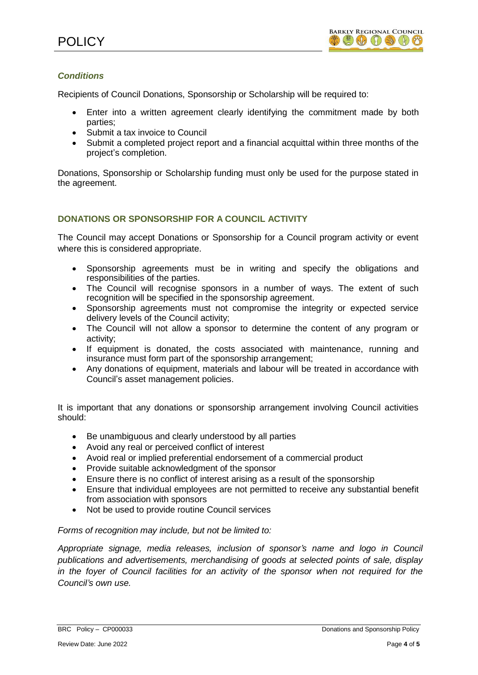# *Conditions*

Recipients of Council Donations, Sponsorship or Scholarship will be required to:

- Enter into a written agreement clearly identifying the commitment made by both parties;
- Submit a tax invoice to Council
- Submit a completed project report and a financial acquittal within three months of the project's completion.

Donations, Sponsorship or Scholarship funding must only be used for the purpose stated in the agreement.

## **DONATIONS OR SPONSORSHIP FOR A COUNCIL ACTIVITY**

The Council may accept Donations or Sponsorship for a Council program activity or event where this is considered appropriate.

- Sponsorship agreements must be in writing and specify the obligations and responsibilities of the parties.
- The Council will recognise sponsors in a number of ways. The extent of such recognition will be specified in the sponsorship agreement.
- Sponsorship agreements must not compromise the integrity or expected service delivery levels of the Council activity;
- The Council will not allow a sponsor to determine the content of any program or activity;
- If equipment is donated, the costs associated with maintenance, running and insurance must form part of the sponsorship arrangement;
- Any donations of equipment, materials and labour will be treated in accordance with Council's asset management policies.

It is important that any donations or sponsorship arrangement involving Council activities should:

- Be unambiguous and clearly understood by all parties
- Avoid any real or perceived conflict of interest
- Avoid real or implied preferential endorsement of a commercial product
- Provide suitable acknowledgment of the sponsor
- Ensure there is no conflict of interest arising as a result of the sponsorship
- Ensure that individual employees are not permitted to receive any substantial benefit from association with sponsors
- Not be used to provide routine Council services

### *Forms of recognition may include, but not be limited to:*

*Appropriate signage, media releases, inclusion of sponsor's name and logo in Council publications and advertisements, merchandising of goods at selected points of sale, display in the foyer of Council facilities for an activity of the sponsor when not required for the Council's own use.*